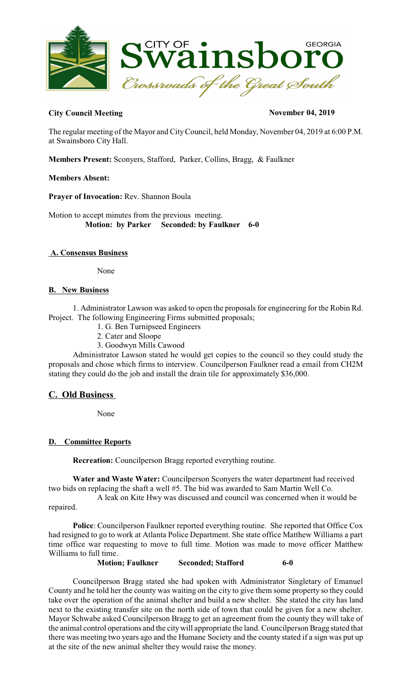

## **City Council Meeting November 04, 2019**

The regular meeting of the Mayor and CityCouncil, held Monday, November 04, 2019 at 6:00 P.M. at Swainsboro City Hall.

**Members Present:** Sconyers, Stafford, Parker, Collins, Bragg, & Faulkner

### **Members Absent:**

**Prayer of Invocation:** Rev. Shannon Boula

Motion to accept minutes from the previous meeting.  **Motion: by Parker Seconded: by Faulkner 6-0** 

### **A. Consensus Business**

None

### **B. New Business**

1. Administrator Lawson was asked to open the proposalsfor engineering for the Robin Rd. Project. The following Engineering Firms submitted proposals;

- 1. G. Ben Turnipseed Engineers
- 2. Cater and Sloope
- 3. Goodwyn Mills Cawood

Administrator Lawson stated he would get copies to the council so they could study the proposals and chose which firms to interview. Councilperson Faulkner read a email from CH2M stating they could do the job and install the drain tile for approximately \$36,000.

# **C. Old Business**

None

### **D. Committee Reports**

**Recreation:** Councilperson Bragg reported everything routine.

**Water and Waste Water:** Councilperson Sconyers the water department had received two bids on replacing the shaft a well #5. The bid was awarded to Sam Martin Well Co.

A leak on Kite Hwy was discussed and council was concerned when it would be repaired.

**Police**: Councilperson Faulkner reported everything routine. She reported that Office Cox had resigned to go to work at Atlanta Police Department. She state office Matthew Williams a part time office war requesting to move to full time. Motion was made to move officer Matthew Williams to full time.

**Motion; Faulkner Seconded; Stafford 6-0**

Councilperson Bragg stated she had spoken with Administrator Singletary of Emanuel County and he told her the county was waiting on the city to give them some property so they could take over the operation of the animal shelter and build a new shelter. She stated the city has land next to the existing transfer site on the north side of town that could be given for a new shelter. Mayor Schwabe asked Councilperson Bragg to get an agreement from the county they will take of the animal control operations and the citywill appropriate the land. Councilperson Bragg stated that there was meeting two years ago and the Humane Society and the county stated if a sign was put up at the site of the new animal shelter they would raise the money.